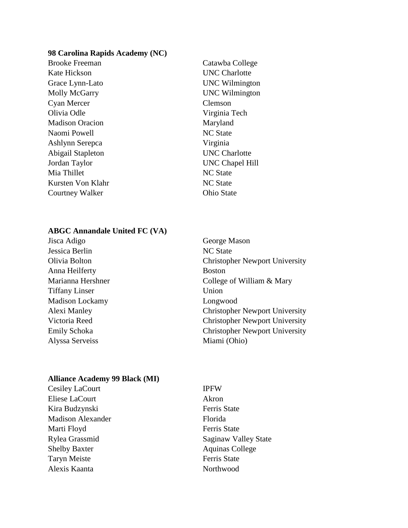#### **98 Carolina Rapids Academy (NC)**

- Brooke Freeman Catawba College Kate Hickson UNC Charlotte Grace Lynn-Lato UNC Wilmington Molly McGarry UNC Wilmington Cyan Mercer Clemson Olivia Odle Virginia Tech Madison Oracion Maryland Naomi Powell NC State Ashlynn Serepca Virginia Abigail Stapleton UNC Charlotte Jordan Taylor UNC Chapel Hill Mia Thillet NC State Kursten Von Klahr NC State Courtney Walker Ohio State
	-

## **ABGC Annandale United FC (VA)**

- Jisca Adigo George Mason Jessica Berlin NC State Anna Heilferty Boston Tiffany Linser Union Madison Lockamy Longwood Alyssa Serveiss Miami (Ohio)
- Olivia Bolton Christopher Newport University Marianna Hershner College of William & Mary Alexi Manley Christopher Newport University Victoria Reed Christopher Newport University Emily Schoka Christopher Newport University

#### **Alliance Academy 99 Black (MI)**

- Cesiley LaCourt IPFW Eliese LaCourt Akron Kira Budzynski Ferris State Madison Alexander Florida Marti Floyd Ferris State Rylea Grassmid Saginaw Valley State Shelby Baxter Aquinas College Taryn Meiste Ferris State Alexis Kaanta Northwood
	-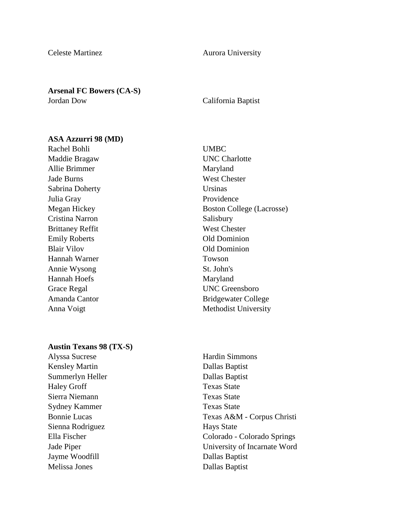Celeste Martinez **Aurora University** 

# **Arsenal FC Bowers (CA-S)**

# Jordan Dow California Baptist

### **ASA Azzurri 98 (MD)**

Rachel Bohli UMBC Maddie Bragaw UNC Charlotte Allie Brimmer Maryland Jade Burns West Chester Sabrina Doherty Ursinas Julia Gray Providence Cristina Narron Salisbury Brittaney Reffit West Chester Emily Roberts Old Dominion Blair Vilov Old Dominion Hannah Warner Towson Annie Wysong St. John's Hannah Hoefs Maryland Grace Regal UNC Greensboro

#### **Austin Texans 98 (TX-S)**

Kensley Martin Dallas Baptist Summerlyn Heller Dallas Baptist Haley Groff Texas State Sierra Niemann Texas State Sydney Kammer Texas State Sienna Rodriguez Hays State Jayme Woodfill **Dallas Baptist** Melissa Jones Dallas Baptist

Megan Hickey Boston College (Lacrosse) Amanda Cantor Bridgewater College Anna Voigt Methodist University

Alyssa Sucrese Hardin Simmons Bonnie Lucas Texas A&M - Corpus Christi Ella Fischer Colorado - Colorado Springs Jade Piper University of Incarnate Word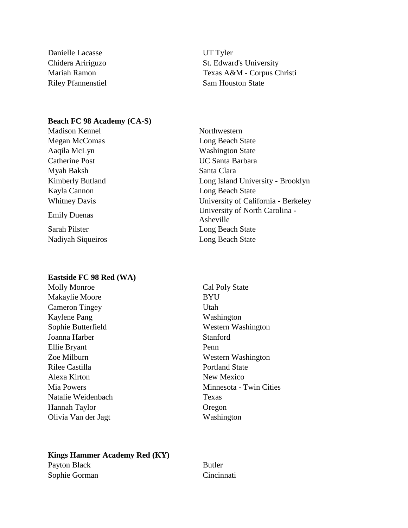Danielle Lacasse UT Tyler

Chidera Aririguzo St. Edward's University Mariah Ramon Texas A&M - Corpus Christi Riley Pfannenstiel Sam Houston State

# **Beach FC 98 Academy (CA-S)**

Madison Kennel Northwestern Megan McComas **Long Beach State** Aaqila McLyn Washington State Catherine Post UC Santa Barbara Myah Baksh Santa Clara Kayla Cannon Long Beach State

Nadiyah Siqueiros Long Beach State

#### **Eastside FC 98 Red (WA)**

Makaylie Moore BYU Cameron Tingey Utah Kaylene Pang Washington Joanna Harber Stanford Ellie Bryant Penn Rilee Castilla Portland State Alexa Kirton New Mexico Natalie Weidenbach Texas Hannah Taylor Oregon Olivia Van der Jagt Washington

Kimberly Butland Long Island University - Brooklyn Whitney Davis University of California - Berkeley Emily Duenas University of North Carolina -Asheville Sarah Pilster Long Beach State

Molly Monroe Cal Poly State Sophie Butterfield Western Washington Zoe Milburn Western Washington Mia Powers Minnesota - Twin Cities

# **Kings Hammer Academy Red (KY)** Payton Black Butler

Sophie Gorman Cincinnati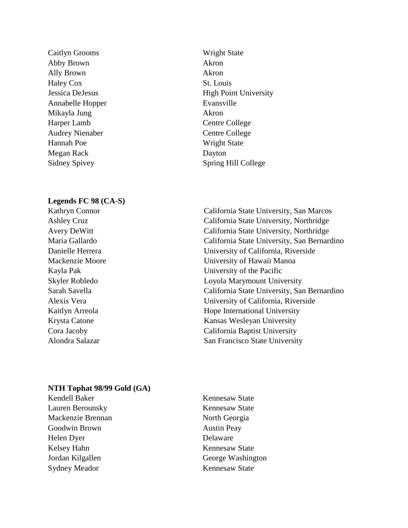Caitlyn Grooms Wright State Abby Brown Akron Ally Brown Akron Haley Cox St. Louis Annabelle Hopper Evansville Mikayla Jung Akron Harper Lamb Centre College Audrey Nienaber Centre College Hannah Poe Wright State Megan Rack Dayton

#### **Legends FC 98 (CA-S)**

Jessica DeJesus High Point University Sidney Spivey Spring Hill College

Kathryn Connor California State University, San Marcos Ashley Cruz California State University, Northridge Avery DeWitt California State University, Northridge Maria Gallardo California State University, San Bernardino Danielle Herrera University of California, Riverside Mackenzie Moore University of Hawaii Manoa Kayla Pak University of the Pacific Skyler Robledo Loyola Marymount University Sarah Savella California State University, San Bernardino Alexis Vera University of California, Riverside Kaitlyn Arreola **Hope International University** Krysta Catone Kansas Wesleyan University Cora Jacoby California Baptist University Alondra Salazar San Francisco State University

# **NTH Tophat 98/99 Gold (GA)**

- Kendell Baker Kennesaw State Lauren Berounsky Kennesaw State Mackenzie Brennan North Georgia Goodwin Brown Austin Peay Helen Dyer Delaware Kelsey Hahn Kennesaw State Jordan Kilgallen George Washington Sydney Meador Kennesaw State
	-